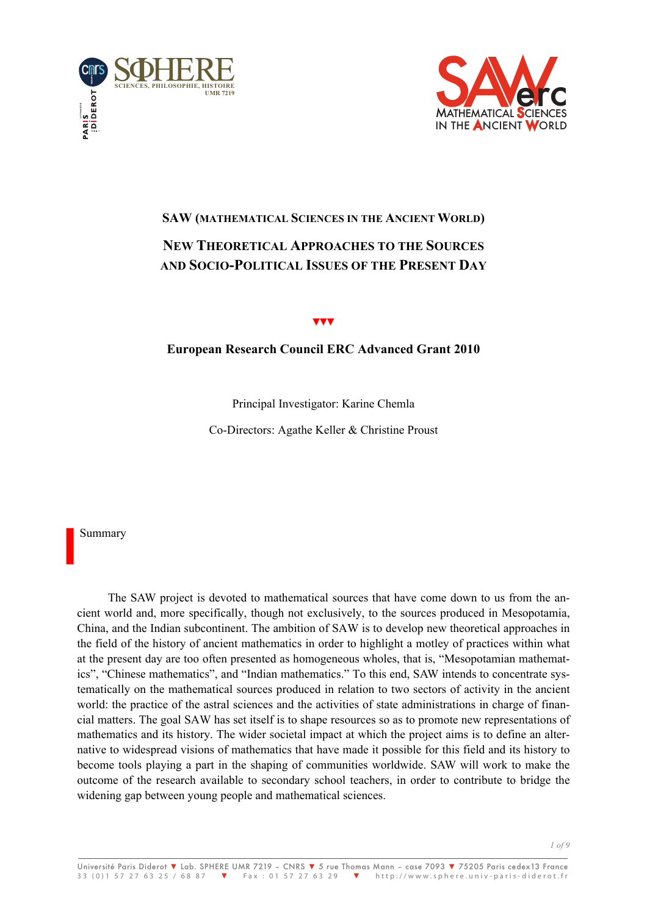



# **SAW (MATHEMATICAL SCIENCES IN THE ANCIENT WORLD) NEW THEORETICAL APPROACHES TO THE SOURCES AND SOCIO-POLITICAL ISSUES OF THE PRESENT DAY**

#### ▼▼▼

## **European Research Council ERC Advanced Grant 2010**

Principal Investigator: Karine Chemla

Co-Directors: Agathe Keller & Christine Proust

Summary

**I**

The SAW project is devoted to mathematical sources that have come down to us from the ancient world and, more specifically, though not exclusively, to the sources produced in Mesopotamia, China, and the Indian subcontinent. The ambition of SAW is to develop new theoretical approaches in the field of the history of ancient mathematics in order to highlight a motley of practices within what at the present day are too often presented as homogeneous wholes, that is, "Mesopotamian mathematics", "Chinese mathematics", and "Indian mathematics." To this end, SAW intends to concentrate systematically on the mathematical sources produced in relation to two sectors of activity in the ancient world: the practice of the astral sciences and the activities of state administrations in charge of financial matters. The goal SAW has set itself is to shape resources so as to promote new representations of mathematics and its history. The wider societal impact at which the project aims is to define an alternative to widespread visions of mathematics that have made it possible for this field and its history to become tools playing a part in the shaping of communities worldwide. SAW will work to make the outcome of the research available to secondary school teachers, in order to contribute to bridge the widening gap between young people and mathematical sciences.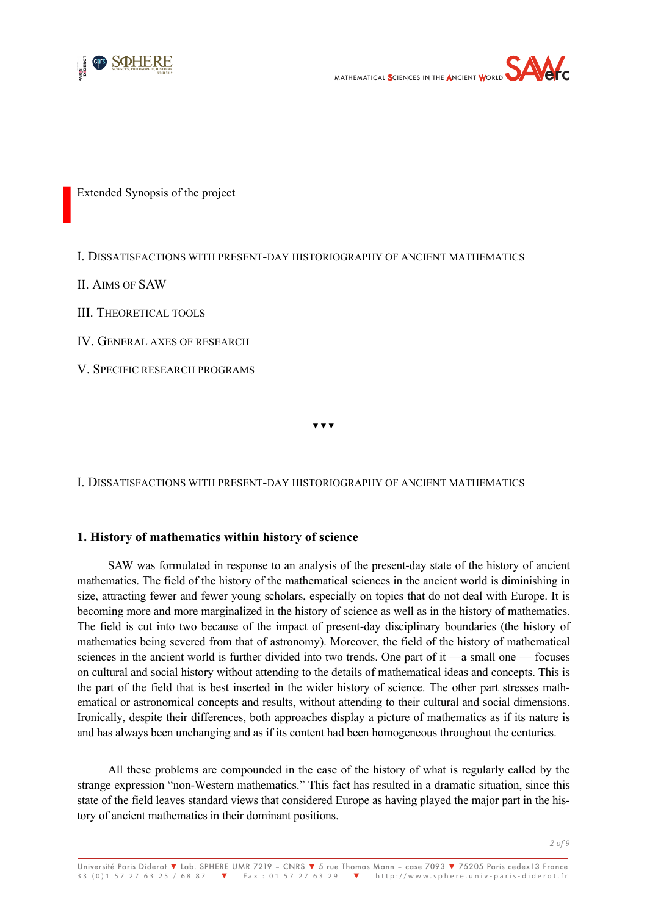



Extended Synopsis of the project

I. DISSATISFACTIONS WITH PRESENT-DAY HISTORIOGRAPHY OF ANCIENT MATHEMATICS

II. AIMS OF SAW

**I**

III. THEORETICAL TOOLS

IV. GENERAL AXES OF RESEARCH

V. SPECIFIC RESEARCH PROGRAMS

▾▾▾

I. DISSATISFACTIONS WITH PRESENT-DAY HISTORIOGRAPHY OF ANCIENT MATHEMATICS

## **1. History of mathematics within history of science**

SAW was formulated in response to an analysis of the present-day state of the history of ancient mathematics. The field of the history of the mathematical sciences in the ancient world is diminishing in size, attracting fewer and fewer young scholars, especially on topics that do not deal with Europe. It is becoming more and more marginalized in the history of science as well as in the history of mathematics. The field is cut into two because of the impact of present-day disciplinary boundaries (the history of mathematics being severed from that of astronomy). Moreover, the field of the history of mathematical sciences in the ancient world is further divided into two trends. One part of it —a small one — focuses on cultural and social history without attending to the details of mathematical ideas and concepts. This is the part of the field that is best inserted in the wider history of science. The other part stresses mathematical or astronomical concepts and results, without attending to their cultural and social dimensions. Ironically, despite their differences, both approaches display a picture of mathematics as if its nature is and has always been unchanging and as if its content had been homogeneous throughout the centuries.

All these problems are compounded in the case of the history of what is regularly called by the strange expression "non-Western mathematics." This fact has resulted in a dramatic situation, since this state of the field leaves standard views that considered Europe as having played the major part in the history of ancient mathematics in their dominant positions.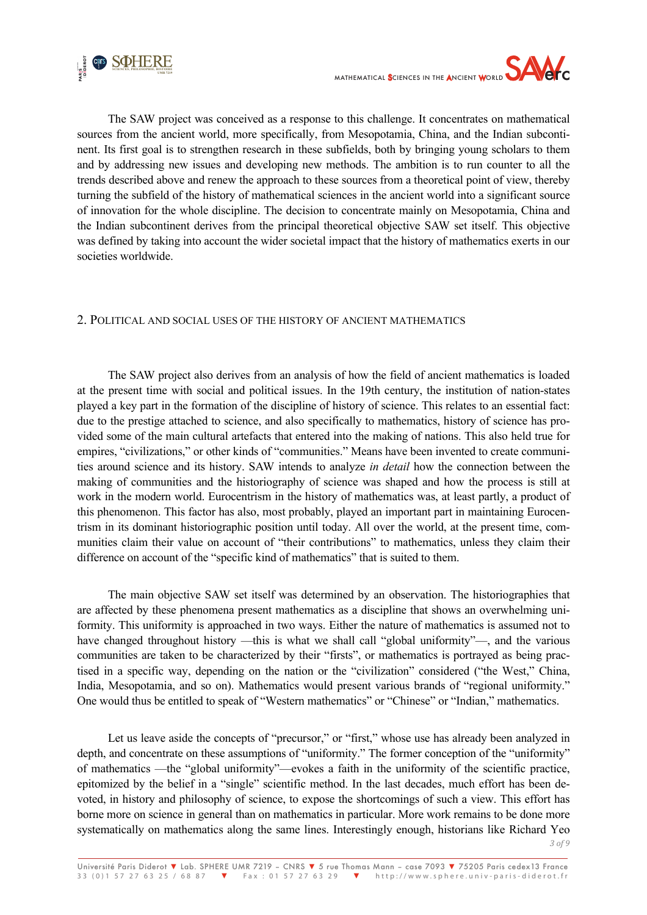



The SAW project was conceived as a response to this challenge. It concentrates on mathematical sources from the ancient world, more specifically, from Mesopotamia, China, and the Indian subcontinent. Its first goal is to strengthen research in these subfields, both by bringing young scholars to them and by addressing new issues and developing new methods. The ambition is to run counter to all the trends described above and renew the approach to these sources from a theoretical point of view, thereby turning the subfield of the history of mathematical sciences in the ancient world into a significant source of innovation for the whole discipline. The decision to concentrate mainly on Mesopotamia, China and the Indian subcontinent derives from the principal theoretical objective SAW set itself. This objective was defined by taking into account the wider societal impact that the history of mathematics exerts in our societies worldwide.

## 2. POLITICAL AND SOCIAL USES OF THE HISTORY OF ANCIENT MATHEMATICS

The SAW project also derives from an analysis of how the field of ancient mathematics is loaded at the present time with social and political issues. In the 19th century, the institution of nation-states played a key part in the formation of the discipline of history of science. This relates to an essential fact: due to the prestige attached to science, and also specifically to mathematics, history of science has provided some of the main cultural artefacts that entered into the making of nations. This also held true for empires, "civilizations," or other kinds of "communities." Means have been invented to create communities around science and its history. SAW intends to analyze *in detail* how the connection between the making of communities and the historiography of science was shaped and how the process is still at work in the modern world. Eurocentrism in the history of mathematics was, at least partly, a product of this phenomenon. This factor has also, most probably, played an important part in maintaining Eurocentrism in its dominant historiographic position until today. All over the world, at the present time, communities claim their value on account of "their contributions" to mathematics, unless they claim their difference on account of the "specific kind of mathematics" that is suited to them.

The main objective SAW set itself was determined by an observation. The historiographies that are affected by these phenomena present mathematics as a discipline that shows an overwhelming uniformity. This uniformity is approached in two ways. Either the nature of mathematics is assumed not to have changed throughout history —this is what we shall call "global uniformity"—, and the various communities are taken to be characterized by their "firsts", or mathematics is portrayed as being practised in a specific way, depending on the nation or the "civilization" considered ("the West," China, India, Mesopotamia, and so on). Mathematics would present various brands of "regional uniformity." One would thus be entitled to speak of "Western mathematics" or "Chinese" or "Indian," mathematics.

Let us leave aside the concepts of "precursor," or "first," whose use has already been analyzed in depth, and concentrate on these assumptions of "uniformity." The former conception of the "uniformity" of mathematics —the "global uniformity"—evokes a faith in the uniformity of the scientific practice, epitomized by the belief in a "single" scientific method. In the last decades, much effort has been devoted, in history and philosophy of science, to expose the shortcomings of such a view. This effort has borne more on science in general than on mathematics in particular. More work remains to be done more systematically on mathematics along the same lines. Interestingly enough, historians like Richard Yeo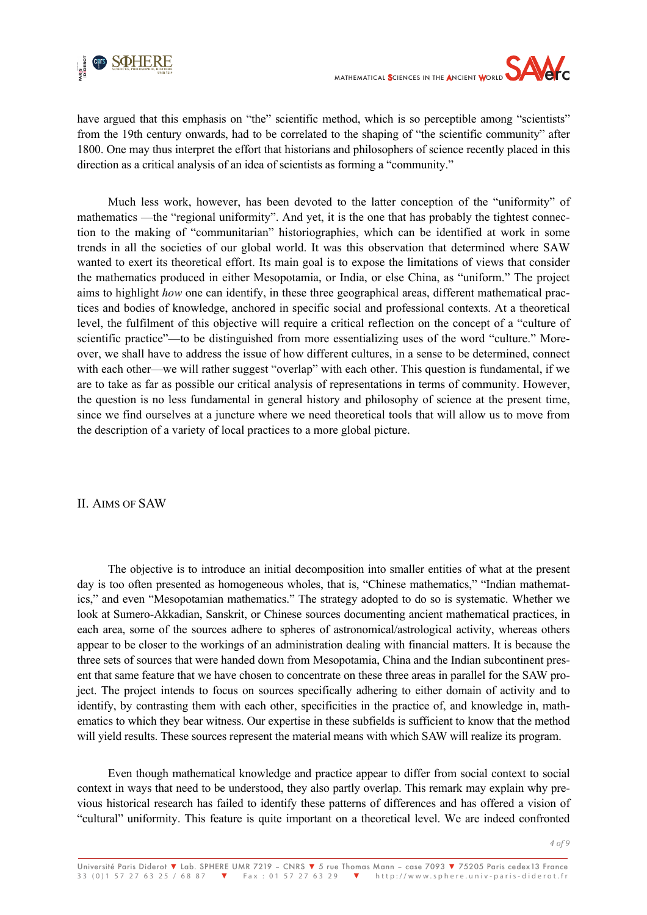

have argued that this emphasis on "the" scientific method, which is so perceptible among "scientists" from the 19th century onwards, had to be correlated to the shaping of "the scientific community" after 1800. One may thus interpret the effort that historians and philosophers of science recently placed in this direction as a critical analysis of an idea of scientists as forming a "community."

Much less work, however, has been devoted to the latter conception of the "uniformity" of mathematics —the "regional uniformity". And yet, it is the one that has probably the tightest connection to the making of "communitarian" historiographies, which can be identified at work in some trends in all the societies of our global world. It was this observation that determined where SAW wanted to exert its theoretical effort. Its main goal is to expose the limitations of views that consider the mathematics produced in either Mesopotamia, or India, or else China, as "uniform." The project aims to highlight *how* one can identify, in these three geographical areas, different mathematical practices and bodies of knowledge, anchored in specific social and professional contexts. At a theoretical level, the fulfilment of this objective will require a critical reflection on the concept of a "culture of scientific practice"—to be distinguished from more essentializing uses of the word "culture." Moreover, we shall have to address the issue of how different cultures, in a sense to be determined, connect with each other—we will rather suggest "overlap" with each other. This question is fundamental, if we are to take as far as possible our critical analysis of representations in terms of community. However, the question is no less fundamental in general history and philosophy of science at the present time, since we find ourselves at a juncture where we need theoretical tools that will allow us to move from the description of a variety of local practices to a more global picture.

II. AIMS OF SAW

The objective is to introduce an initial decomposition into smaller entities of what at the present day is too often presented as homogeneous wholes, that is, "Chinese mathematics," "Indian mathematics," and even "Mesopotamian mathematics." The strategy adopted to do so is systematic. Whether we look at Sumero-Akkadian, Sanskrit, or Chinese sources documenting ancient mathematical practices, in each area, some of the sources adhere to spheres of astronomical/astrological activity, whereas others appear to be closer to the workings of an administration dealing with financial matters. It is because the three sets of sources that were handed down from Mesopotamia, China and the Indian subcontinent present that same feature that we have chosen to concentrate on these three areas in parallel for the SAW project. The project intends to focus on sources specifically adhering to either domain of activity and to identify, by contrasting them with each other, specificities in the practice of, and knowledge in, mathematics to which they bear witness. Our expertise in these subfields is sufficient to know that the method will yield results. These sources represent the material means with which SAW will realize its program.

Even though mathematical knowledge and practice appear to differ from social context to social context in ways that need to be understood, they also partly overlap. This remark may explain why previous historical research has failed to identify these patterns of differences and has offered a vision of "cultural" uniformity. This feature is quite important on a theoretical level. We are indeed confronted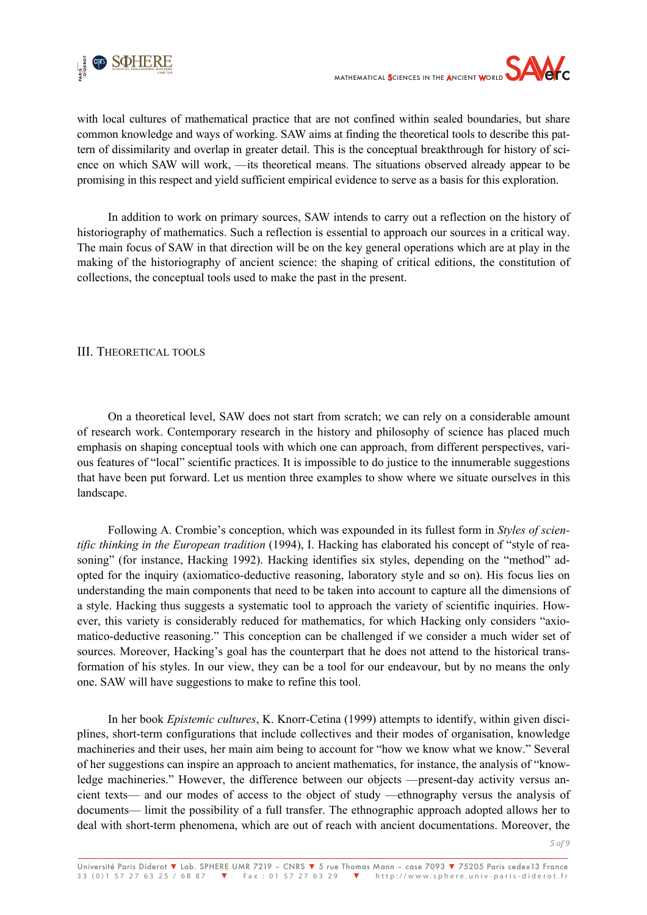

with local cultures of mathematical practice that are not confined within sealed boundaries, but share common knowledge and ways of working. SAW aims at finding the theoretical tools to describe this pattern of dissimilarity and overlap in greater detail. This is the conceptual breakthrough for history of science on which SAW will work, —its theoretical means. The situations observed already appear to be promising in this respect and yield sufficient empirical evidence to serve as a basis for this exploration.

In addition to work on primary sources, SAW intends to carry out a reflection on the history of historiography of mathematics. Such a reflection is essential to approach our sources in a critical way. The main focus of SAW in that direction will be on the key general operations which are at play in the making of the historiography of ancient science: the shaping of critical editions, the constitution of collections, the conceptual tools used to make the past in the present.

## III. THEORETICAL TOOLS

On a theoretical level, SAW does not start from scratch; we can rely on a considerable amount of research work. Contemporary research in the history and philosophy of science has placed much emphasis on shaping conceptual tools with which one can approach, from different perspectives, various features of "local" scientific practices. It is impossible to do justice to the innumerable suggestions that have been put forward. Let us mention three examples to show where we situate ourselves in this landscape.

Following A. Crombie's conception, which was expounded in its fullest form in *Styles of scientific thinking in the European tradition* (1994), I. Hacking has elaborated his concept of "style of reasoning" (for instance, Hacking 1992). Hacking identifies six styles, depending on the "method" adopted for the inquiry (axiomatico-deductive reasoning, laboratory style and so on). His focus lies on understanding the main components that need to be taken into account to capture all the dimensions of a style. Hacking thus suggests a systematic tool to approach the variety of scientific inquiries. However, this variety is considerably reduced for mathematics, for which Hacking only considers "axiomatico-deductive reasoning." This conception can be challenged if we consider a much wider set of sources. Moreover, Hacking's goal has the counterpart that he does not attend to the historical transformation of his styles. In our view, they can be a tool for our endeavour, but by no means the only one. SAW will have suggestions to make to refine this tool.

In her book *Epistemic cultures*, K. Knorr-Cetina (1999) attempts to identify, within given disciplines, short-term configurations that include collectives and their modes of organisation, knowledge machineries and their uses, her main aim being to account for "how we know what we know." Several of her suggestions can inspire an approach to ancient mathematics, for instance, the analysis of "knowledge machineries." However, the difference between our objects —present-day activity versus ancient texts— and our modes of access to the object of study —ethnography versus the analysis of documents— limit the possibility of a full transfer. The ethnographic approach adopted allows her to deal with short-term phenomena, which are out of reach with ancient documentations. Moreover, the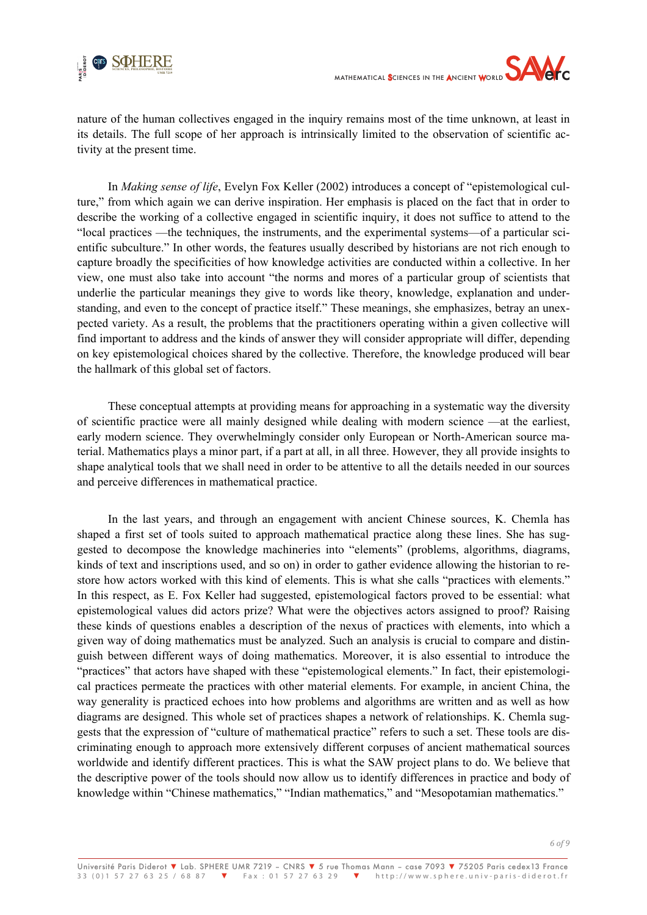

nature of the human collectives engaged in the inquiry remains most of the time unknown, at least in its details. The full scope of her approach is intrinsically limited to the observation of scientific activity at the present time.

In *Making sense of life*, Evelyn Fox Keller (2002) introduces a concept of "epistemological culture," from which again we can derive inspiration. Her emphasis is placed on the fact that in order to describe the working of a collective engaged in scientific inquiry, it does not suffice to attend to the "local practices —the techniques, the instruments, and the experimental systems—of a particular scientific subculture." In other words, the features usually described by historians are not rich enough to capture broadly the specificities of how knowledge activities are conducted within a collective. In her view, one must also take into account "the norms and mores of a particular group of scientists that underlie the particular meanings they give to words like theory, knowledge, explanation and understanding, and even to the concept of practice itself." These meanings, she emphasizes, betray an unexpected variety. As a result, the problems that the practitioners operating within a given collective will find important to address and the kinds of answer they will consider appropriate will differ, depending on key epistemological choices shared by the collective. Therefore, the knowledge produced will bear the hallmark of this global set of factors.

These conceptual attempts at providing means for approaching in a systematic way the diversity of scientific practice were all mainly designed while dealing with modern science —at the earliest, early modern science. They overwhelmingly consider only European or North-American source material. Mathematics plays a minor part, if a part at all, in all three. However, they all provide insights to shape analytical tools that we shall need in order to be attentive to all the details needed in our sources and perceive differences in mathematical practice.

In the last years, and through an engagement with ancient Chinese sources, K. Chemla has shaped a first set of tools suited to approach mathematical practice along these lines. She has suggested to decompose the knowledge machineries into "elements" (problems, algorithms, diagrams, kinds of text and inscriptions used, and so on) in order to gather evidence allowing the historian to restore how actors worked with this kind of elements. This is what she calls "practices with elements." In this respect, as E. Fox Keller had suggested, epistemological factors proved to be essential: what epistemological values did actors prize? What were the objectives actors assigned to proof? Raising these kinds of questions enables a description of the nexus of practices with elements, into which a given way of doing mathematics must be analyzed. Such an analysis is crucial to compare and distinguish between different ways of doing mathematics. Moreover, it is also essential to introduce the "practices" that actors have shaped with these "epistemological elements." In fact, their epistemological practices permeate the practices with other material elements. For example, in ancient China, the way generality is practiced echoes into how problems and algorithms are written and as well as how diagrams are designed. This whole set of practices shapes a network of relationships. K. Chemla suggests that the expression of "culture of mathematical practice" refers to such a set. These tools are discriminating enough to approach more extensively different corpuses of ancient mathematical sources worldwide and identify different practices. This is what the SAW project plans to do. We believe that the descriptive power of the tools should now allow us to identify differences in practice and body of knowledge within "Chinese mathematics," "Indian mathematics," and "Mesopotamian mathematics."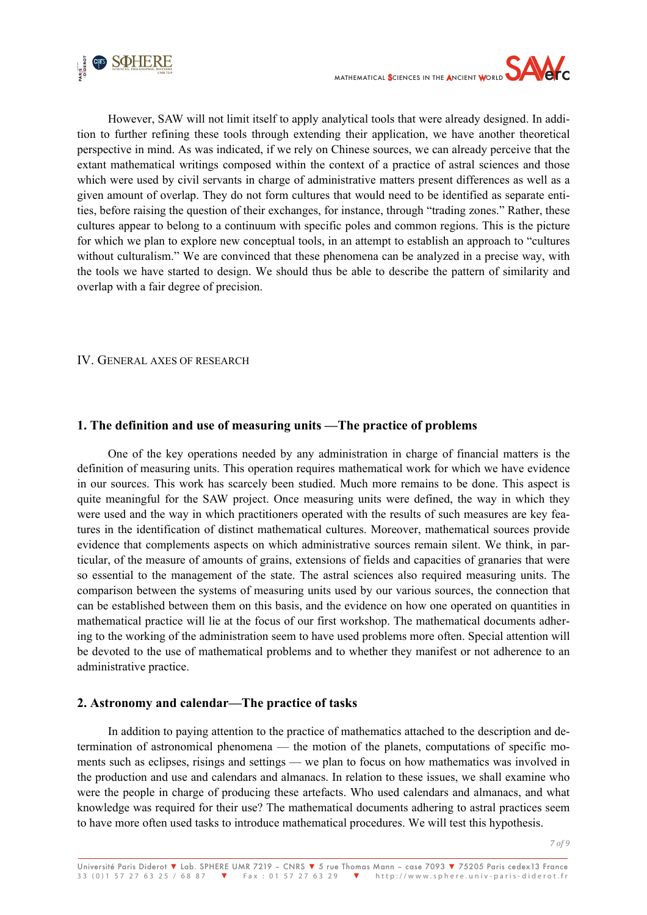



However, SAW will not limit itself to apply analytical tools that were already designed. In addition to further refining these tools through extending their application, we have another theoretical perspective in mind. As was indicated, if we rely on Chinese sources, we can already perceive that the extant mathematical writings composed within the context of a practice of astral sciences and those which were used by civil servants in charge of administrative matters present differences as well as a given amount of overlap. They do not form cultures that would need to be identified as separate entities, before raising the question of their exchanges, for instance, through "trading zones." Rather, these cultures appear to belong to a continuum with specific poles and common regions. This is the picture for which we plan to explore new conceptual tools, in an attempt to establish an approach to "cultures without culturalism." We are convinced that these phenomena can be analyzed in a precise way, with the tools we have started to design. We should thus be able to describe the pattern of similarity and overlap with a fair degree of precision.

#### IV. GENERAL AXES OF RESEARCH

## **1. The definition and use of measuring units —The practice of problems**

One of the key operations needed by any administration in charge of financial matters is the definition of measuring units. This operation requires mathematical work for which we have evidence in our sources. This work has scarcely been studied. Much more remains to be done. This aspect is quite meaningful for the SAW project. Once measuring units were defined, the way in which they were used and the way in which practitioners operated with the results of such measures are key features in the identification of distinct mathematical cultures. Moreover, mathematical sources provide evidence that complements aspects on which administrative sources remain silent. We think, in particular, of the measure of amounts of grains, extensions of fields and capacities of granaries that were so essential to the management of the state. The astral sciences also required measuring units. The comparison between the systems of measuring units used by our various sources, the connection that can be established between them on this basis, and the evidence on how one operated on quantities in mathematical practice will lie at the focus of our first workshop. The mathematical documents adhering to the working of the administration seem to have used problems more often. Special attention will be devoted to the use of mathematical problems and to whether they manifest or not adherence to an administrative practice.

## **2. Astronomy and calendar—The practice of tasks**

In addition to paying attention to the practice of mathematics attached to the description and determination of astronomical phenomena — the motion of the planets, computations of specific moments such as eclipses, risings and settings — we plan to focus on how mathematics was involved in the production and use and calendars and almanacs. In relation to these issues, we shall examine who were the people in charge of producing these artefacts. Who used calendars and almanacs, and what knowledge was required for their use? The mathematical documents adhering to astral practices seem to have more often used tasks to introduce mathematical procedures. We will test this hypothesis.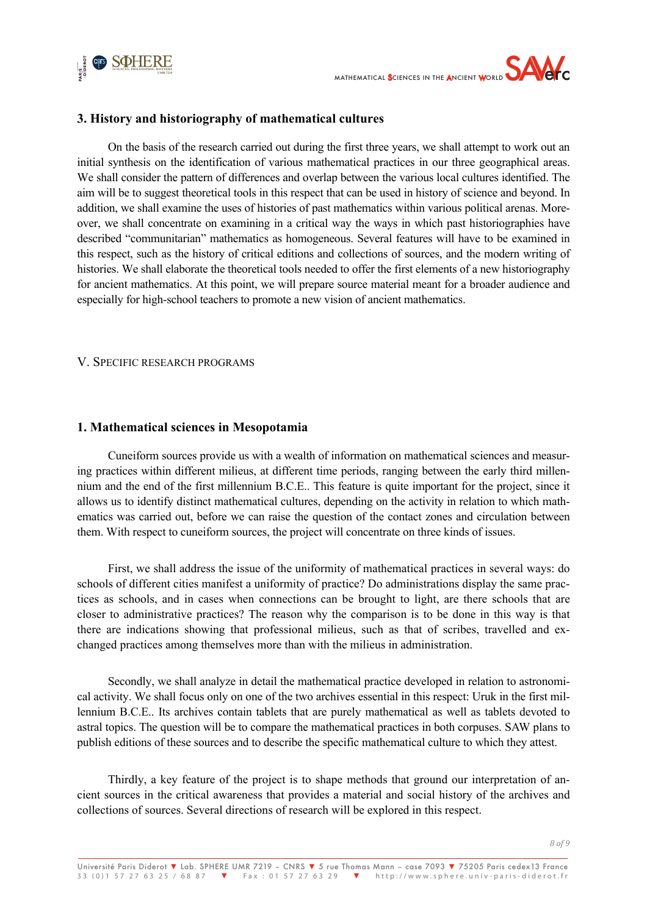



# **3. History and historiography of mathematical cultures**

On the basis of the research carried out during the first three years, we shall attempt to work out an initial synthesis on the identification of various mathematical practices in our three geographical areas. We shall consider the pattern of differences and overlap between the various local cultures identified. The aim will be to suggest theoretical tools in this respect that can be used in history of science and beyond. In addition, we shall examine the uses of histories of past mathematics within various political arenas. Moreover, we shall concentrate on examining in a critical way the ways in which past historiographies have described "communitarian" mathematics as homogeneous. Several features will have to be examined in this respect, such as the history of critical editions and collections of sources, and the modern writing of histories. We shall elaborate the theoretical tools needed to offer the first elements of a new historiography for ancient mathematics. At this point, we will prepare source material meant for a broader audience and especially for high-school teachers to promote a new vision of ancient mathematics.

#### V. SPECIFIC RESEARCH PROGRAMS

## **1. Mathematical sciences in Mesopotamia**

Cuneiform sources provide us with a wealth of information on mathematical sciences and measuring practices within different milieus, at different time periods, ranging between the early third millennium and the end of the first millennium B.C.E.. This feature is quite important for the project, since it allows us to identify distinct mathematical cultures, depending on the activity in relation to which mathematics was carried out, before we can raise the question of the contact zones and circulation between them. With respect to cuneiform sources, the project will concentrate on three kinds of issues.

First, we shall address the issue of the uniformity of mathematical practices in several ways: do schools of different cities manifest a uniformity of practice? Do administrations display the same practices as schools, and in cases when connections can be brought to light, are there schools that are closer to administrative practices? The reason why the comparison is to be done in this way is that there are indications showing that professional milieus, such as that of scribes, travelled and exchanged practices among themselves more than with the milieus in administration.

Secondly, we shall analyze in detail the mathematical practice developed in relation to astronomical activity. We shall focus only on one of the two archives essential in this respect: Uruk in the first millennium B.C.E.. Its archives contain tablets that are purely mathematical as well as tablets devoted to astral topics. The question will be to compare the mathematical practices in both corpuses. SAW plans to publish editions of these sources and to describe the specific mathematical culture to which they attest.

Thirdly, a key feature of the project is to shape methods that ground our interpretation of ancient sources in the critical awareness that provides a material and social history of the archives and collections of sources. Several directions of research will be explored in this respect.